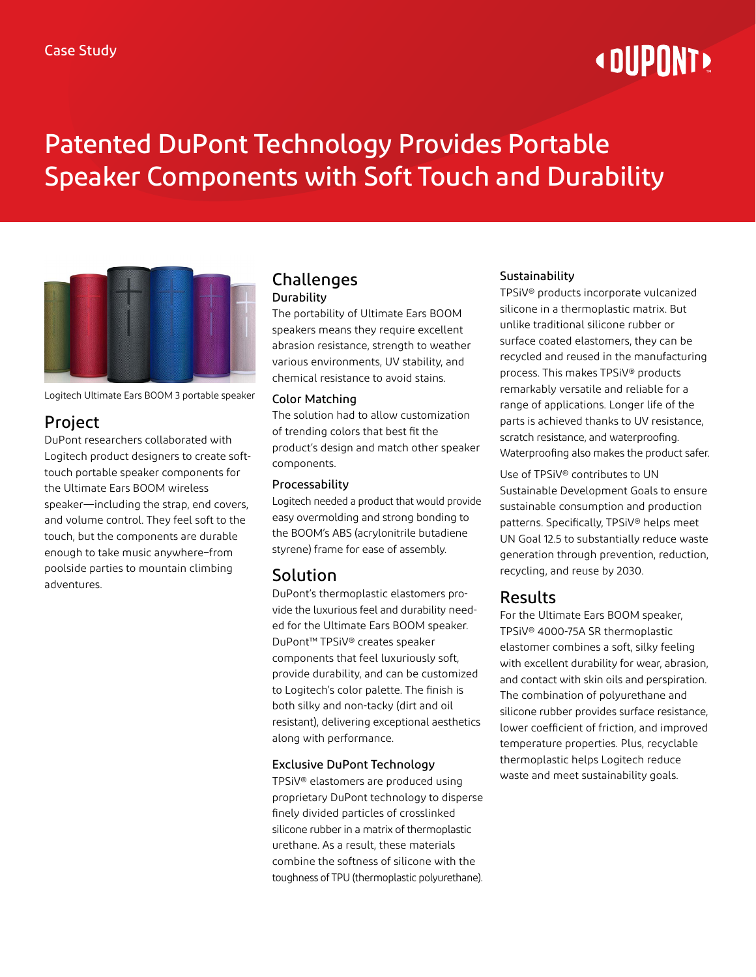# **« DUPONT »**

## Patented DuPont Technology Provides Portable Speaker Components with Soft Touch and Durability



Logitech Ultimate Ears BOOM 3 portable speaker

## Project

DuPont researchers collaborated with Logitech product designers to create softtouch portable speaker components for the Ultimate Ears BOOM wireless speaker—including the strap, end covers, and volume control. They feel soft to the touch, but the components are durable enough to take music anywhere–from poolside parties to mountain climbing adventures.

#### Challenges **Durability**

The portability of Ultimate Ears BOOM speakers means they require excellent abrasion resistance, strength to weather various environments, UV stability, and chemical resistance to avoid stains.

#### Color Matching

The solution had to allow customization of trending colors that best fit the product's design and match other speaker components.

#### Processability

Logitech needed a product that would provide easy overmolding and strong bonding to the BOOM's ABS (acrylonitrile butadiene styrene) frame for ease of assembly.

## Solution

DuPont's thermoplastic elastomers provide the luxurious feel and durability needed for the Ultimate Ears BOOM speaker. DuPont™ TPSiV® creates speaker components that feel luxuriously soft, provide durability, and can be customized to Logitech's color palette. The finish is both silky and non-tacky (dirt and oil resistant), delivering exceptional aesthetics along with performance.

#### Exclusive DuPont Technology

TPSiV® elastomers are produced using proprietary DuPont technology to disperse finely divided particles of crosslinked silicone rubber in a matrix of thermoplastic urethane. As a result, these materials combine the softness of silicone with the toughness of TPU (thermoplastic polyurethane).

#### Sustainability

TPSiV® products incorporate vulcanized silicone in a thermoplastic matrix. But unlike traditional silicone rubber or surface coated elastomers, they can be recycled and reused in the manufacturing process. This makes TPSiV® products remarkably versatile and reliable for a range of applications. Longer life of the parts is achieved thanks to UV resistance, scratch resistance, and waterproofing. Waterproofing also makes the product safer.

Use of TPSiV® contributes to UN Sustainable Development Goals to ensure sustainable consumption and production patterns. Specifically, TPSiV® helps meet UN Goal 12.5 to substantially reduce waste generation through prevention, reduction, recycling, and reuse by 2030.

## Results

For the Ultimate Ears BOOM speaker, TPSiV® 4000-75A SR thermoplastic elastomer combines a soft, silky feeling with excellent durability for wear, abrasion, and contact with skin oils and perspiration. The combination of polyurethane and silicone rubber provides surface resistance, lower coefficient of friction, and improved temperature properties. Plus, recyclable thermoplastic helps Logitech reduce waste and meet sustainability goals.